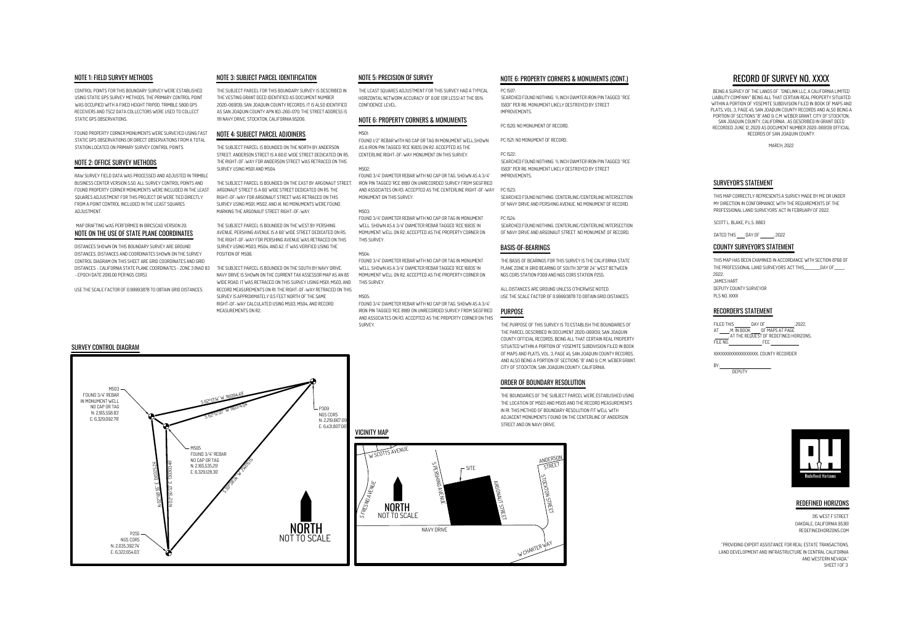NAVY DRIVEARGONAUT STREET WW CHARTER WAY STOCKTON STREET ANDERSO STREET



# RECORD OF SURVEY NO. XXXX

BEING A SURVEY OF THE LANDS OF "ONELINK LLC, A CALIFORNIA LIMITED LIABILITY COMPANY" BEING ALL THAT CERTAIN REAL PROPERTY SITUATED WITHIN A PORTION OF YOSEMITE SUBDIVISION FILED IN BOOK OF MAPS AND PLATS, VOL. 3, PAGE 45, SAN JOAQUIN COUNTY RECORDS AND ALSO BEING A PORTION OF SECTIONS "B" AND 9, C.M. WEBER GRANT, CITY OF STOCKTON,SAN JOAQUIN COUNTY, CALIFORNIA , AS DESCRIBED IN GRANT DEED RECORDED JUNE 12, 2020 AS DOCUMENT NUMBER 2020-069139 OFFICIALRECORDS OF SAN JOAQUIN COUNTY.

MARCH, 2022

CONTROL POINTS FOR THIS BOUNDARY SURVEY WERE ESTABLISHED USING STATIC GPS SURVEY METHODS. THE PRIMARY CONTROL POINTWAS OCCUPIED WITH A FIXED HEIGHT TRIPOD. TRIMBLE 5800 GPS RECEIVERS AND TSC2 DATA COLLECTORS WERE USED TO COLLECTSTATIC GPS OBSERVATIONS.

> THE SUBJECT PARCEL IS BOUNDED ON THE EAST BY ARGONAUT STREET ARGONAUT STREET IS A 60' WIDE STREET DEDICATED ON R5. THE RIGHT-OF-WAY FOR ARGONAUT STREET WAS RETRACED ON THIS SURVEY USING M501, M502, AND A1. NO MONUMENTS WERE FOUNDMARKING THE ARGONAUT STREET RIGHT-OF-WAY.

FOUND PROPERTY CORNER MONUMENTS WERE SURVEYED USING FASTSTATIC GPS OBSERVATIONS OR DIRECT OBSERVATIONS FROM A TOTALSTATION LOCATED ON PRIMARY SURVEY CONTROL POINTS.

# NOTE 1: FIELD SURVEY METHODS

RAW SURVEY FIELD DATA WAS PROCESSED AND ADJUSTED IN TRIMBLEBUSINESS CENTER VERSION 5.50. ALL SURVEY CONTROL POINTS AND FOUND PROPERTY CORNER MONUMENTS WERE INCLUDED IN THE LEASTSQUARES ADJUSTMENT FOR THIS PROJECT OR WERE TIED DIRECTLYFROM A POINT CONTROL INCLUDED IN THE LEAST SQUARESADJUSTMENT.

# NOTE 2: OFFICE SURVEY METHODS

THE SUBJECT PARCEL FOR THIS BOUNDARY SURVEY IS DESCRIBED INTHE VESTING GRANT DEED IDENTIFIED AS DOCUMENT NUMBER 2020-069139, SAN JOAQUIN COUNTY RECORDS. IT IS ALSO IDENTIFIED AS SAN JOAQUIN COUNTY APN 163-260-070. THE STREET ADDRESS IS1111 NAVY DRIVE, STOCKTON, CALIFORNIA 95206.

# NOTE 3: SUBJECT PARCEL IDENTIFICATION

THE SUBJECT PARCEL IS BOUNDED ON THE NORTH BY ANDERSON STREET. ANDERSON STREET IS A 60.6' WIDE STREET DEDICATED ON R5.THE RIGHT-OF-WAY FOR ANDERSON STREET WAS RETRACED ON THISSURVEY USING M501 AND M504.

THE SUBJECT PARCEL IS BOUNDED ON THE WEST BY PERSHING AVENUE. PERSHING AVENUE IS A 60' WIDE STREET DEDICATED ON R5.THE RIGHT-OF-WAY FOR PERSHING AVENUE WAS RETRACED ON THISSURVEY USING M503, M504, AND A2. IT WAS VERIFIED USING THEPOSITION OF M506.



THE SUBJECT PARCEL IS BOUNDED ON THE SOUTH BY NAVY DRIVE.NAVY DRIVE IS SHOWN ON THE CURRENT TAX ASSESSOR MAP AS AN 85'WIDE ROAD. IT WAS RETRACED ON THIS SURVEY USING M501, M503, AND RECORD MEASUREMENTS ON R1. THE RIGHT-OF-WAY RETRACED ON THISSURVEY IS APPROXIMATELY 0.5 FEET NORTH OF THE SAME RIGHT-OF-WAY CALCULATED USING M503, M504, AND RECORDMEASUREMENTS ON R2.

## NOTE 4: SUBJECT PARCEL ADJOINERS

## MAP DRAFTING WAS PERFORMED IN BRICSCAD VERSION 20.NOTE ON THE USE OF STATE PLANE COORDINATES

THE LEAST SQUARES ADJUSTMENT FOR THIS SURVEY HAD A TYPICALHORIZONTAL NETWORK ACCURACY OF 0.06' (OR LESS) AT THE 95%CONFIDENCE LEVEL.

# NOTE 5: PRECISION OF SURVEY

## NOTE 6: PROPERTY CORNERS & MONUMENTS

### M501:

FOUND 1/2" REBAR WITH NO CAP OR TAG IN MONUMENT WELL.SHOWNAS A IRON PIN TAGGED 'RCE 16835 ON R2. ACCEPTED AS THECENTERLINE RIGHT-OF-WAY MONUMENT ON THIS SURVEY.

## M502:

FOUND 3/4" DIAMETER REBAR WITH NO CAP OR TAG. SHOWN AS A 3/4"IRON PIN TAGGED 'RCE 8189' ON UNRECORDED SURVEY FROM SIEGFRIED AND ASSOCIATES ON R3. ACCEPTED AS THE CENTERLINE RIGHT-OF-WAYMONUMENT ON THIS SURVEY.

## M503:

FOUND 3/4" DIAMETER REBAR WITH NO CAP OR TAG IN MONUMENTWELL. SHOWN AS A 3/4" DIAMETER REBAR TAGGED 'RCE 16835' IN MOMUMENT WELL ON R2. ACCEPTED AS THE PROPERTY CORNER ONTHIS SURVEY.

## M504:

FOUND 3/4" DIAMETER REBAR WITH NO CAP OR TAG IN MONUMENTWELL. SHOWN AS A 3/4" DIAMETER REBAR TAGGED 'RCE 16835' IN MOMUMENT WELL ON R2. ACCEPTED AS THE PROPERTY CORNER ONTHIS SURVEY.

## M505:

FOUND 3/4" DIAMETER REBAR WITH NO CAP OR TAG. SHOWN AS A 3/4"IRON PIN TAGGED 'RCE 8189' ON UNRECORDED SURVEY FROM SIEGFRIED AND ASSOCIATES ON R3. ACCEPTED AS THE PROPERTY CORNER ON THISSURVEY.

# SURVEY CONTROL DIAGRAM

DISTANCES SHOWN ON THIS BOUNDARY SURVEY ARE GROUND DISTANCES. DISTANCES AND COORDINATES SHOWN ON THE SURVEY CONTROL DIAGRAM ON THIS SHEET ARE GRID COORDINATES AND GRID DISTANCES - CALIFORNIA STATE PLANE COORDINATES - ZONE 3 (NAD 83- EPOCH DATE 2010.00 PER NGS CORS).

USE THE SCALE FACTOR OF 0.99993878 TO OBTAIN GRID DISTANCES.



# NOTE 6: PROPERTY CORNERS & MONUMENTS (CONT.)

### PC 1507:

SEARCHED FOUND NOTHING. ¾ INCH DIAMTER IRON PIN TAGGED "RCE15831" PER R6. MONUMENT LIKELY DESTROYED BY STREETIMPROVEMENTS.

### PC 1520: NO MONUMENT OF RECORD.

PC 1521: NO MONUMENT OF RECORD.

PC 1522:SEARCHED FOUND NOTHING. ¾ INCH DIAMTER IRON PIN TAGGED "RCE15831" PER R6. MONUMENT LIKELY DESTROYED BY STREETIMPROVEMENTS.

PC 1523:

SEARCHED FOUND NOTHING. CENTERLINE/CENTERLINE INTERSECTIONOF NAVY DRIVE AND PERSHING AVENUE. NO MONUMENT OF RECORD.

PC 1524:SEARCHED FOUND NOTHING. CENTERLINE/CENTERLINE INTERSECTIONOF NAVY DRIVE AND ARGONAUT STREET. NO MONUMENT OF RECORD.

THIS MAP CORRECTLY REPRESENTS A SURVEY MADE BY ME OR UNDERMY DIRECTION IN CONFORMANCE WITH THE REQUIREMENTS OF THEPROFESSIONAL LAND SURVEYORS' ACT IN FEBRUARY OF 2022.

## SURVEYOR'S STATEMENT

SCOTT L. BLAKE, P.L.S. 8863

DATED THIS \_\_\_\_ DAY OF \_\_\_\_\_\_\_, 2022

## COUNTY SURVEYOR'S STATEMENT

XXXXXXXXXXXXXXXXXXX, COUNTY RECORDER

BY:



DEPUTY

### RECORDER'S STATEMENT

FILED THIS DAY OF , 2022, AT M. IN BOOK OF MAPS AT PAGE , AT THE REQUEST OF REDEFINED HORIZONS.FILE NO. FEE

## BASIS-OF-BEARINGS

# PURPOSE

JAMES HARTTHIS MAP HAS BEEN EXAMINED IN ACCORDANCE WITH SECTION 8766 OFTHE PROFESSIONAL LAND SURVEYORS' ACT THIS\_\_\_\_\_\_\_\_\_\_DAY OF\_\_\_\_\_\_,2022.DEPUTY COUNTY SURVEYORPLS NO. XXXX

THE PURPOSE OF THIS SURVEY IS TO ESTABLISH THE BOUNDARIES OFTHE PARCEL DESCRIBED IN DOCUMENT 2020-069139, SAN JOAQUIN COUNTY OFFICIAL RECORDS, BEING ALL THAT CERTAIN REAL PROPERTY SITUATED WITHIN A PORTION OF YOSEMITE SUBDIVISION FILED IN BOOKOF MAPS AND PLATS, VOL. 3, PAGE 45, SAN JOAQUIN COUNTY RECORDS,AND ALSO BEING A PORTION OF SECTIONS "B" AND 9, C.M. WEBER GRANT CITY OF STOCKTON, SAN JOAQUIN COUNTY, CALIFORNIA.

THE BASIS OF BEARINGS FOR THIS SURVEY IS THE CALIFORNIA STATE PLANE ZONE III GRID BEARING OF SOUTH 30°38' 24" WEST BETWEENNGS CORS STATION P309 AND NGS CORS STATION P255.

ALL DISTANCES ARE GROUND UNLESS OTHERWISE NOTED.USE THE SCALE FACTOR OF 0.99993878 TO OBTAIN GRID DISTANCES.

> 315 WEST F STREETOAKDALE, CALIFORNIA 95361REDEFINEDHORIZONS.COM

"PROVIDING EXPERT ASSISTANCE FOR REAL ESTATE TRANSACTIONS,LAND DEVELOPMENT AND INFRASTRUCTURE IN CENTRAL CALIFORNIA AND WESTERN NEVADA."SHEET 1 OF 3



## REDEFINED HORIZONS

THE BOUNDARIES OF THE SUBJECT PARCEL WERE ESTABLISHED USING THE LOCATION OF M503 AND M505 AND THE RECORD MEASUREMENTSIN R1. THIS METHOD OF BOUNDARY RESOLUTION FIT WELL WITH ADJACENT MONUMENTS FOUND ON THE CENTERLINE OF ANDERSONSTREET AND ON NAVY DRIVE.

## ORDER OF BOUNDARY RESOLUTION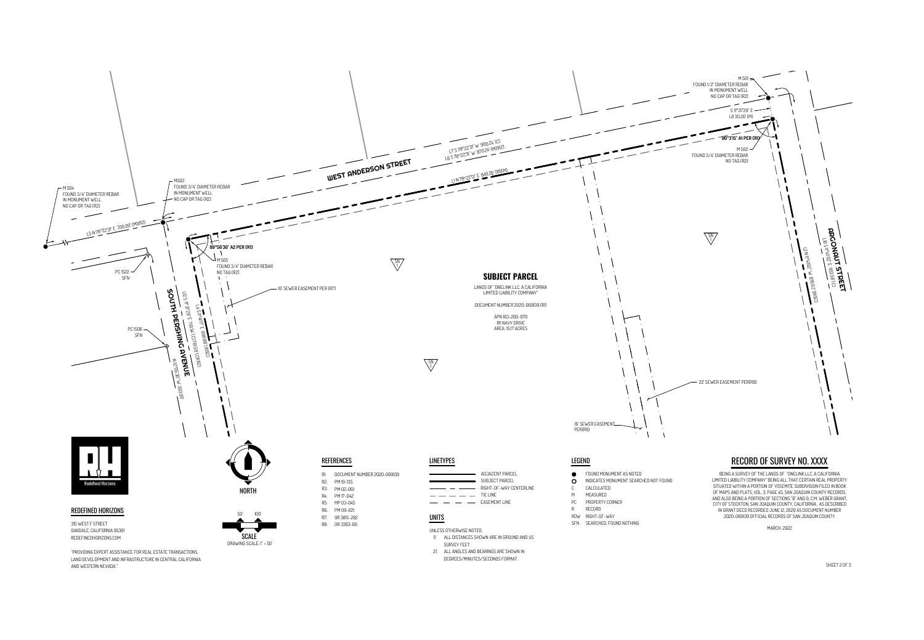SHEET 2 OF 3



AND WESTERN NEVADA."

| AD              |
|-----------------|
| SU              |
| RI <sub>0</sub> |
| TIE             |
| FΔ              |

- 
- 
- 
- 
- 
- 
- 
-